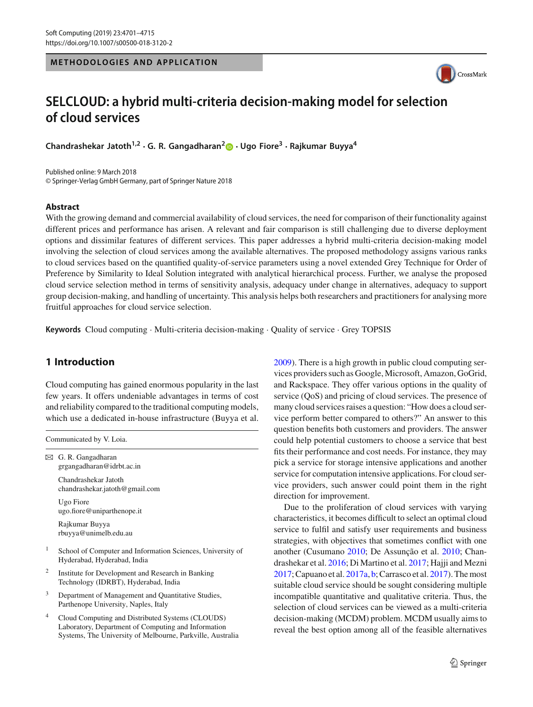#### **METHODOLOGIES AND APPLICATION**



# **SELCLOUD: a hybrid multi-criteria decision-making model for selection of cloud services**

**Chandrashekar Jatoth1,2 · G. R. Gangadharan[2](http://orcid.org/0000-0002-0764-2650) · Ugo Fiore<sup>3</sup> · Rajkumar Buyya<sup>4</sup>**

Published online: 9 March 2018 © Springer-Verlag GmbH Germany, part of Springer Nature 2018

### **Abstract**

With the growing demand and commercial availability of cloud services, the need for comparison of their functionality against different prices and performance has arisen. A relevant and fair comparison is still challenging due to diverse deployment options and dissimilar features of different services. This paper addresses a hybrid multi-criteria decision-making model involving the selection of cloud services among the available alternatives. The proposed methodology assigns various ranks to cloud services based on the quantified quality-of-service parameters using a novel extended Grey Technique for Order of Preference by Similarity to Ideal Solution integrated with analytical hierarchical process. Further, we analyse the proposed cloud service selection method in terms of sensitivity analysis, adequacy under change in alternatives, adequacy to support group decision-making, and handling of uncertainty. This analysis helps both researchers and practitioners for analysing more fruitful approaches for cloud service selection.

**Keywords** Cloud computing · Multi-criteria decision-making · Quality of service · Grey TOPSIS

# **1 Introduction**

Cloud computing has gained enormous popularity in the last few years. It offers undeniable advantages in terms of cost and reliability compared to the traditional computing models, which use a dedicated in-house infrastructure (Buyya et al[.](#page-13-0)

|                | Communicated by V. Loia.                                                                                                                                              |
|----------------|-----------------------------------------------------------------------------------------------------------------------------------------------------------------------|
| ⊠              | G. R. Gangadharan<br>grgangadharan@idrbt.ac.in                                                                                                                        |
|                | Chandrashekar Jatoth<br>chandrashekar.jatoth@gmail.com                                                                                                                |
|                | Ugo Fiore<br>ugo.fiore@uniparthenope.it                                                                                                                               |
|                | Rajkumar Buyya<br>rbuyya@unimelb.edu.au                                                                                                                               |
| 1              | School of Computer and Information Sciences, University of<br>Hyderabad, Hyderabad, India                                                                             |
| 2              | Institute for Development and Research in Banking<br>Technology (IDRBT), Hyderabad, India                                                                             |
| 3              | Department of Management and Quantitative Studies,<br>Parthenope University, Naples, Italy                                                                            |
| $\overline{4}$ | Cloud Computing and Distributed Systems (CLOUDS)<br>Laboratory, Department of Computing and Information<br>Systems, The University of Melbourne, Parkville, Australia |

[2009](#page-13-0)). There is a high growth in public cloud computing services providers such as Google, Microsoft, Amazon, GoGrid, and Rackspace. They offer various options in the quality of service (QoS) and pricing of cloud services. The presence of many cloud services raises a question: "How does a cloud service perform better compared to others?" An answer to this question benefits both customers and providers. The answer could help potential customers to choose a service that best fits their performance and cost needs. For instance, they may pick a service for storage intensive applications and another service for computation intensive applications. For cloud service providers, such answer could point them in the right direction for improvement.

Due to the proliferation of cloud services with varying characteristics, it becomes difficult to select an optimal cloud service to fulfil and satisfy user requirements and business strategies, with objectives that sometimes conflict with one another (Cusuman[o](#page-13-1) [2010](#page-13-1); De Assunção et al[.](#page-13-2) [2010;](#page-13-2) Chandrashekar et al[.](#page-13-3) [2016;](#page-13-3) Di Martino et al[.](#page-13-4) [2017;](#page-13-4) Hajji and Mezn[i](#page-13-5) [2017](#page-13-5); Capuano et al[.](#page-13-6) [2017a](#page-13-6), [b;](#page-13-7) Carrasco et al[.](#page-13-8) [2017\)](#page-13-8). The most suitable cloud service should be sought considering multiple incompatible quantitative and qualitative criteria. Thus, the selection of cloud services can be viewed as a multi-criteria decision-making (MCDM) problem. MCDM usually aims to reveal the best option among all of the feasible alternatives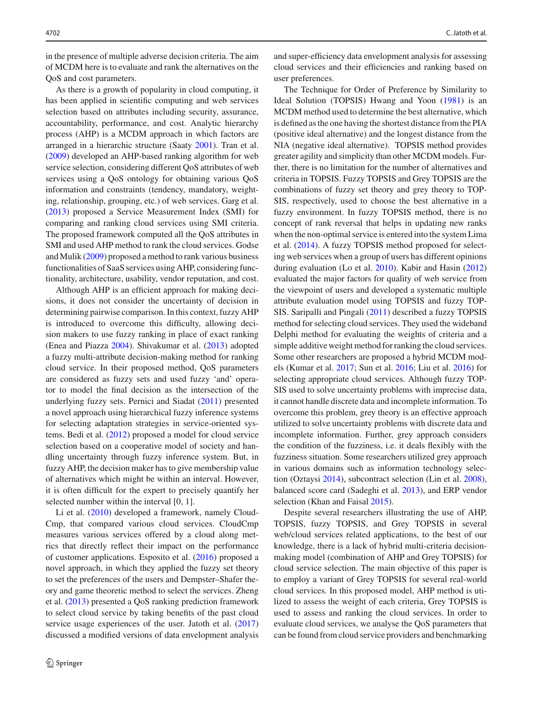in the presence of multiple adverse decision criteria. The aim of MCDM here is to evaluate and rank the alternatives on the QoS and cost parameters.

As there is a growth of popularity in cloud computing, it has been applied in scientific computing and web services selection based on attributes including security, assurance, accountability, performance, and cost. Analytic hierarchy process (AHP) is a MCDM approach in which factors are arranged in a hierarchic structure (Saat[y](#page-13-9) [2001](#page-13-9)). Tran et al[.](#page-14-0) [\(2009](#page-14-0)) developed an AHP-based ranking algorithm for web service selection, considering different QoS attributes of web services using a QoS ontology for obtaining various QoS information and constraints (tendency, mandatory, weighting, relationship, grouping, etc.) of web services. Garg et al[.](#page-13-10) [\(2013](#page-13-10)) proposed a Service Measurement Index (SMI) for comparing and ranking cloud services using SMI criteria. The proposed framework computed all the QoS attributes in SMI and used AHP method to rank the cloud services. Godse and Muli[k](#page-13-11) [\(2009](#page-13-11)) proposed a method to rank various business functionalities of SaaS services using AHP, considering functionality, architecture, usability, vendor reputation, and cost.

Although AHP is an efficient approach for making decisions, it does not consider the uncertainty of decision in determining pairwise comparison. In this context, fuzzy AHP is introduced to overcome this difficulty, allowing decision makers to use fuzzy ranking in place of exact ranking (Enea and Piazz[a](#page-13-12) [2004](#page-13-12)). Shivakumar et al[.](#page-14-1) [\(2013](#page-14-1)) adopted a fuzzy multi-attribute decision-making method for ranking cloud service. In their proposed method, QoS parameters are considered as fuzzy sets and used fuzzy 'and' operator to model the final decision as the intersection of the underlying fuzzy sets. Pernici and Siada[t](#page-13-13) [\(2011](#page-13-13)) presented a novel approach using hierarchical fuzzy inference systems for selecting adaptation strategies in service-oriented systems. Bedi et al[.](#page-13-14) [\(2012\)](#page-13-14) proposed a model for cloud service selection based on a cooperative model of society and handling uncertainty through fuzzy inference system. But, in fuzzy AHP, the decision maker has to give membership value of alternatives which might be within an interval. However, it is often difficult for the expert to precisely quantify her selected number within the interval [0, 1].

Li et al[.](#page-13-15) [\(2010](#page-13-15)) developed a framework, namely Cloud-Cmp, that compared various cloud services. CloudCmp measures various services offered by a cloud along metrics that directly reflect their impact on the performance of customer applications. Esposito et al[.](#page-13-16) [\(2016\)](#page-13-16) proposed a novel approach, in which they applied the fuzzy set theory to set the preferences of the users and Dempster–Shafer theory and game theoretic method to select the services. Zheng et al[.](#page-14-2) [\(2013](#page-14-2)) presented a QoS ranking prediction framework to select cloud service by taking benefits of the past cloud service usage experiences of the user[.](#page-13-17) Jatoth et al.  $(2017)$ discussed a modified versions of data envelopment analysis and super-efficiency data envelopment analysis for assessing cloud services and their efficiencies and ranking based on user preferences.

The Technique for Order of Preference by Similarity to Ideal Solution (TOPSIS) Hwang and Yoo[n](#page-13-18) [\(1981](#page-13-18)) is an MCDM method used to determine the best alternative, which is defined as the one having the shortest distance from the PIA (positive ideal alternative) and the longest distance from the NIA (negative ideal alternative). TOPSIS method provides greater agility and simplicity than other MCDM models. Further, there is no limitation for the number of alternatives and criteria in TOPSIS. Fuzzy TOPSIS and Grey TOPSIS are the combinations of fuzzy set theory and grey theory to TOP-SIS, respectively, used to choose the best alternative in a fuzzy environment. In fuzzy TOPSIS method, there is no concept of rank reversal that helps in updating new ranks when the non-optimal service is entered into the system Lima et al[.](#page-13-19) [\(2014\)](#page-13-19). A fuzzy TOPSIS method proposed for selecting web services when a group of users has different opinions during evaluation (Lo et al[.](#page-13-20) [2010](#page-13-20)). Kabir and Hasi[n](#page-13-21) [\(2012\)](#page-13-21) evaluated the major factors for quality of web service from the viewpoint of users and developed a systematic multiple attribute evaluation model using TOPSIS and fuzzy TOP-SIS. Saripalli and Pingal[i](#page-14-3) [\(2011\)](#page-14-3) described a fuzzy TOPSIS method for selecting cloud services. They used the wideband Delphi method for evaluating the weights of criteria and a simple additive weight method for ranking the cloud services. Some other researchers are proposed a hybrid MCDM models (Kumar et al[.](#page-13-22) [2017;](#page-13-22) Sun et al[.](#page-14-4) [2016](#page-14-4); Liu et al[.](#page-13-23) [2016\)](#page-13-23) for selecting appropriate cloud services. Although fuzzy TOP-SIS used to solve uncertainty problems with imprecise data, it cannot handle discrete data and incomplete information. To overcome this problem, grey theory is an effective approach utilized to solve uncertainty problems with discrete data and incomplete information. Further, grey approach considers the condition of the fuzziness, i.e. it deals flexibly with the fuzziness situation. Some researchers utilized grey approach in various domains such as information technology selection (Oztays[i](#page-13-24) [2014\)](#page-13-24), subcontract selection (Lin et al[.](#page-13-25) [2008](#page-13-25)), balanced score card (Sadeghi et al[.](#page-13-26) [2013](#page-13-26)), and ERP vendor selection (Khan and Faisa[l](#page-13-27) [2015](#page-13-27)).

Despite several researchers illustrating the use of AHP, TOPSIS, fuzzy TOPSIS, and Grey TOPSIS in several web/cloud services related applications, to the best of our knowledge, there is a lack of hybrid multi-criteria decisionmaking model (combination of AHP and Grey TOPSIS) for cloud service selection. The main objective of this paper is to employ a variant of Grey TOPSIS for several real-world cloud services. In this proposed model, AHP method is utilized to assess the weight of each criteria, Grey TOPSIS is used to assess and ranking the cloud services. In order to evaluate cloud services, we analyse the QoS parameters that can be found from cloud service providers and benchmarking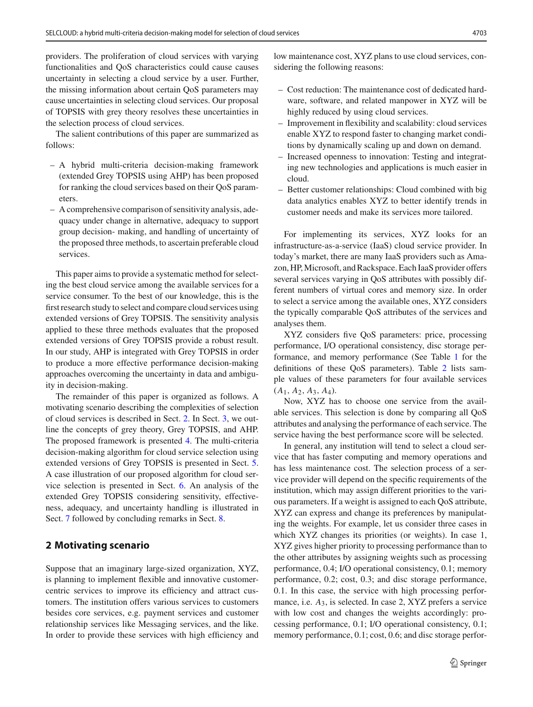providers. The proliferation of cloud services with varying functionalities and QoS characteristics could cause causes uncertainty in selecting a cloud service by a user. Further, the missing information about certain QoS parameters may cause uncertainties in selecting cloud services. Our proposal of TOPSIS with grey theory resolves these uncertainties in the selection process of cloud services.

The salient contributions of this paper are summarized as follows:

- A hybrid multi-criteria decision-making framework (extended Grey TOPSIS using AHP) has been proposed for ranking the cloud services based on their QoS parameters.
- A comprehensive comparison of sensitivity analysis, adequacy under change in alternative, adequacy to support group decision- making, and handling of uncertainty of the proposed three methods, to ascertain preferable cloud services.

This paper aims to provide a systematic method for selecting the best cloud service among the available services for a service consumer. To the best of our knowledge, this is the first research study to select and compare cloud services using extended versions of Grey TOPSIS. The sensitivity analysis applied to these three methods evaluates that the proposed extended versions of Grey TOPSIS provide a robust result. In our study, AHP is integrated with Grey TOPSIS in order to produce a more effective performance decision-making approaches overcoming the uncertainty in data and ambiguity in decision-making.

The remainder of this paper is organized as follows. A motivating scenario describing the complexities of selection of cloud services is described in Sect. [2.](#page-2-0) In Sect. [3,](#page-3-0) we outline the concepts of grey theory, Grey TOPSIS, and AHP. The proposed framework is presented [4.](#page-4-0) The multi-criteria decision-making algorithm for cloud service selection using extended versions of Grey TOPSIS is presented in Sect. [5.](#page-7-0) A case illustration of our proposed algorithm for cloud service selection is presented in Sect. [6.](#page-8-0) An analysis of the extended Grey TOPSIS considering sensitivity, effectiveness, adequacy, and uncertainty handling is illustrated in Sect. [7](#page-9-0) followed by concluding remarks in Sect. [8.](#page-12-0)

## <span id="page-2-0"></span>**2 Motivating scenario**

Suppose that an imaginary large-sized organization, XYZ, is planning to implement flexible and innovative customercentric services to improve its efficiency and attract customers. The institution offers various services to customers besides core services, e.g. payment services and customer relationship services like Messaging services, and the like. In order to provide these services with high efficiency and low maintenance cost, XYZ plans to use cloud services, considering the following reasons:

- Cost reduction: The maintenance cost of dedicated hardware, software, and related manpower in XYZ will be highly reduced by using cloud services.
- Improvement in flexibility and scalability: cloud services enable XYZ to respond faster to changing market conditions by dynamically scaling up and down on demand.
- Increased openness to innovation: Testing and integrating new technologies and applications is much easier in cloud.
- Better customer relationships: Cloud combined with big data analytics enables XYZ to better identify trends in customer needs and make its services more tailored.

For implementing its services, XYZ looks for an infrastructure-as-a-service (IaaS) cloud service provider. In today's market, there are many IaaS providers such as Amazon, HP,Microsoft, and Rackspace. Each IaaS provider offers several services varying in QoS attributes with possibly different numbers of virtual cores and memory size. In order to select a service among the available ones, XYZ considers the typically comparable QoS attributes of the services and analyses them.

XYZ considers five QoS parameters: price, processing performance, I/O operational consistency, disc storage performance, and memory performance (See Table [1](#page-3-1) for the definitions of these QoS parameters). Table [2](#page-3-2) lists sample values of these parameters for four available services  $(A_1, A_2, A_3, A_4)$ .

Now, XYZ has to choose one service from the available services. This selection is done by comparing all QoS attributes and analysing the performance of each service. The service having the best performance score will be selected.

In general, any institution will tend to select a cloud service that has faster computing and memory operations and has less maintenance cost. The selection process of a service provider will depend on the specific requirements of the institution, which may assign different priorities to the various parameters. If a weight is assigned to each QoS attribute, XYZ can express and change its preferences by manipulating the weights. For example, let us consider three cases in which XYZ changes its priorities (or weights). In case 1, XYZ gives higher priority to processing performance than to the other attributes by assigning weights such as processing performance, 0.4; I/O operational consistency, 0.1; memory performance, 0.2; cost, 0.3; and disc storage performance, 0.1. In this case, the service with high processing performance, i.e.  $A_3$ , is selected. In case 2, XYZ prefers a service with low cost and changes the weights accordingly: processing performance, 0.1; I/O operational consistency, 0.1; memory performance, 0.1; cost, 0.6; and disc storage perfor-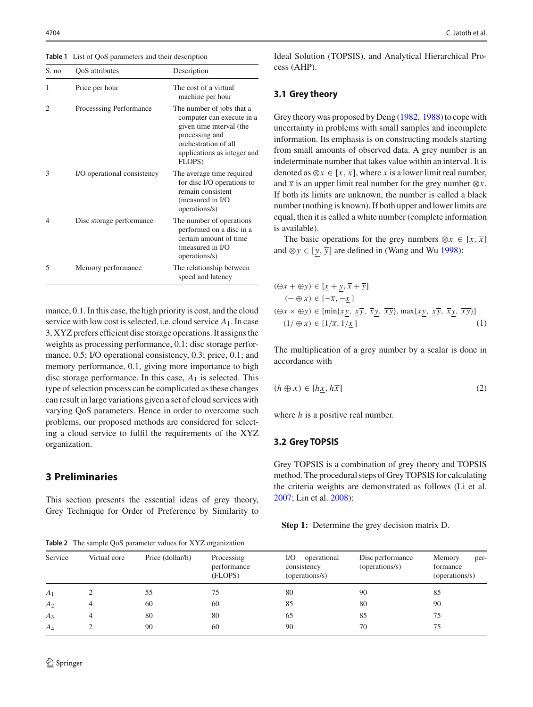<span id="page-3-1"></span>**Table 1** List of QoS parameters and their description

| S. no | QoS attributes              | Description                                                                                                                                                           |
|-------|-----------------------------|-----------------------------------------------------------------------------------------------------------------------------------------------------------------------|
| 1     | Price per hour              | The cost of a virtual<br>machine per hour                                                                                                                             |
|       | Processsing Performance     | The number of jobs that a<br>computer can execute in a<br>given time interval (the<br>processing and<br>orchestration of all<br>applications as integer and<br>FLOPS) |
| 3     | I/O operational consistency | The average time required<br>for disc I/O operations to<br>remain consistent<br>(measured in I/O<br>operations/s)                                                     |
| 4     | Disc storage performance    | The number of operations<br>performed on a disc in a<br>certain amount of time<br>(measured in I/O<br>operations/s)                                                   |
| 5     | Memory performance          | The relationship between<br>speed and latency                                                                                                                         |

mance, 0.1. In this case, the high priority is cost, and the cloud service with low cost is selected, i.e. cloud service *A*1. In case 3, XYZ prefers efficient disc storage operations. It assigns the weights as processing performance, 0.1; disc storage performance, 0.5; I/O operational consistency, 0.3; price, 0.1; and memory performance, 0.1, giving more importance to high disc storage performance. In this case, *A*<sup>1</sup> is selected. This type of selection process can be complicated as these changes can result in large variations given a set of cloud services with varying QoS parameters. Hence in order to overcome such problems, our proposed methods are considered for selecting a cloud service to fulfil the requirements of the XYZ organization.

## <span id="page-3-0"></span>**3 Preliminaries**

This section presents the essential ideas of grey theory, Grey Technique for Order of Preference by Similarity to

**Table 2** The sample QoS parameter values for XYZ organization

Ideal Solution (TOPSIS), and Analytical Hierarchical Process (AHP).

#### **3.1 Grey theory**

Grey theory was proposed by Den[g](#page-13-28) [\(1982,](#page-13-28) [1988](#page-13-29)) to cope with uncertainty in problems with small samples and incomplete information. Its emphasis is on constructing models starting from small amounts of observed data. A grey number is an indeterminate number that takes value within an interval. It is denoted as  $\otimes x \in [x, \overline{x}]$ , where *x* is a lower limit real number, and  $\bar{x}$  is an upper limit real number for the grey number  $\otimes x$ . If both its limits are unknown, the number is called a black number (nothing is known). If both upper and lower limits are equal, then it is called a white number (complete information is available).

The basic operations for the grey numbers  $\otimes x \in [\underline{x}, \overline{x}]$ and  $\otimes y \in [y, \overline{y}]$  are defined in (Wang and W[u](#page-14-5) [1998](#page-14-5)):

$$
(\oplus x + \oplus y) \in [\underline{x} + \underline{y}, \overline{x} + \overline{y}]
$$
  
\n
$$
(- \oplus x) \in [-\overline{x}, -\underline{x}]
$$
  
\n
$$
(\oplus x \times \oplus y) \in [\min{\underline{xy}, \underline{x}\overline{y}, \overline{x}\underline{y}, \overline{x}\overline{y}}], \max{\underline{xy}, \underline{x}\overline{y}, \overline{x}\underline{y}, \overline{x}\overline{y}}]
$$
  
\n
$$
(1/\oplus x) \in [1/\overline{x}, 1/\underline{x}]
$$
  
\n(1)

The multiplication of a grey number by a scalar is done in accordance with

$$
(h \oplus x) \in [h \underline{x}, h \overline{x}] \tag{2}
$$

where *h* is a positive real number.

#### **3.2 Grey TOPSIS**

Grey TOPSIS is a combination of grey theory and TOPSIS method. The procedural steps of Grey TOPSIS for calculating the criteria weights are demonstrated as follows (Li et al[.](#page-13-30) [2007](#page-13-30); Lin et al[.](#page-13-25) [2008](#page-13-25)):

<span id="page-3-3"></span>**Step 1:** Determine the grey decision matrix D.

<span id="page-3-2"></span>

| Service        | Virtual core | Price (dollar/h) | Processing<br>performance<br>(FLOPS) | I/O<br>operational<br>consistency<br>(operations/s) | Disc performance<br>(operations/s) | Memory<br>per-<br>formance<br>(operations/s) |
|----------------|--------------|------------------|--------------------------------------|-----------------------------------------------------|------------------------------------|----------------------------------------------|
| A <sub>1</sub> |              | 55               | 75                                   | 80                                                  | 90                                 | 85                                           |
| A <sub>2</sub> | 4            | 60               | 60                                   | 85                                                  | 80                                 | 90                                           |
| $A_3$          | 4            | 80               | 80                                   | 65                                                  | 85                                 | 75                                           |
| $A_4$          |              | 90               | 60                                   | 90                                                  | 70                                 | 75                                           |
|                |              |                  |                                      |                                                     |                                    |                                              |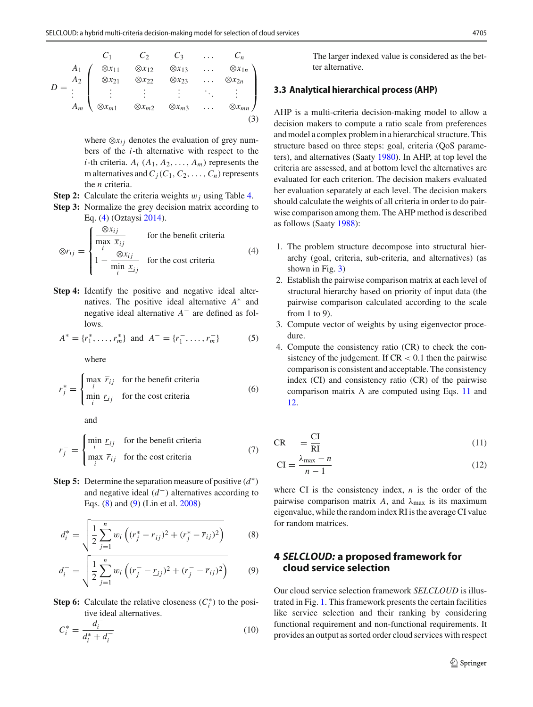|                                                                                                                                                                                                                                                                                                                                      |  |  | $C_1$ $C_2$ $C_3$ $C_n$ |
|--------------------------------------------------------------------------------------------------------------------------------------------------------------------------------------------------------------------------------------------------------------------------------------------------------------------------------------|--|--|-------------------------|
| $D=\begin{matrix} A_1 & \otimes x_{11} & \otimes x_{12} & \otimes x_{13} & \cdots & \otimes x_{1n} \\ & \otimes x_{21} & \otimes x_{22} & \otimes x_{23} & \cdots & \otimes x_{2n} \\ \vdots & \vdots & \vdots & \ddots & \vdots \\ & A_m & \otimes x_{m1} & \otimes x_{m2} & \otimes x_{m3} & \cdots & \otimes x_{mn} \end{matrix}$ |  |  |                         |
|                                                                                                                                                                                                                                                                                                                                      |  |  |                         |
|                                                                                                                                                                                                                                                                                                                                      |  |  |                         |
|                                                                                                                                                                                                                                                                                                                                      |  |  |                         |
|                                                                                                                                                                                                                                                                                                                                      |  |  |                         |

where  $\otimes x_{ij}$  denotes the evaluation of grey numbers of the *i*-th alternative with respect to the *i*-th criteria.  $A_i$  ( $A_1$ ,  $A_2$ , ...,  $A_m$ ) represents the m alternatives and  $C_i(C_1, C_2, \ldots, C_n)$  represents the *n* criteria.

- **Step 2:** Calculate the criteria weights  $w_j$  using Table [4.](#page-7-1)
- **Step 3:** Normalize the grey decision matrix according to Eq. [\(4\)](#page-4-1) (Oztays[i](#page-13-24) [2014\)](#page-13-24).

<span id="page-4-1"></span>
$$
\otimes r_{ij} = \begin{cases} \frac{\otimes x_{ij}}{\max \overline{x}_{ij}} & \text{for the benefit criteria} \\ i - \frac{\otimes x_{ij}}{\min \overline{x}_{ij}} & \text{for the cost criteria} \end{cases}
$$
(4)

**Step 4:** Identify the positive and negative ideal alternatives. The positive ideal alternative *A*∗ and negative ideal alternative *A*− are defined as follows.

$$
A^* = \{r_1^*, \dots, r_m^*\} \text{ and } A^- = \{r_1^-, \dots, r_m^-\}\tag{5}
$$

where

$$
r_j^* = \begin{cases} \max_i \overline{r}_{ij} & \text{for the benefit criteria} \\ \min_i \underline{r}_{ij} & \text{for the cost criteria} \end{cases}
$$
 (6)

and

$$
r_j^- = \begin{cases} \min_i \ r_{ij} & \text{for the benefit criteria} \\ \max_i \ \overline{r}_{ij} & \text{for the cost criteria} \end{cases}
$$
 (7)

**Step 5:** Determine the separation measure of positive  $(d^*)$ and negative ideal (*d*−) alternatives according to Eqs. [\(8\)](#page-4-2) and [\(9\)](#page-4-2) (Lin et al[.](#page-13-25) [2008\)](#page-13-25)

<span id="page-4-2"></span>
$$
d_i^* = \sqrt{\frac{1}{2} \sum_{j=1}^n w_i \left( (r_j^* - r_{ij})^2 + (r_j^* - \overline{r}_{ij})^2 \right)}
$$
(8)

$$
d_i^- = \sqrt{\frac{1}{2} \sum_{j=1}^n w_i \left( (r_j^- - r_{ij})^2 + (r_j^- - \overline{r}_{ij})^2 \right)}
$$
(9)

**Step 6:** Calculate the relative closeness  $(C_i^*)$  to the positive ideal alternatives.

$$
C_i^* = \frac{d_i^-}{d_i^* + d_i^-}
$$
 (10)

The larger indexed value is considered as the better alternative.

#### **3.3 Analytical hierarchical process (AHP)**

AHP is a multi-criteria decision-making model to allow a decision makers to compute a ratio scale from preferences and model a complex problem in a hierarchical structure. This structure based on three steps: goal, criteria (QoS parameters), and alternatives (Saat[y](#page-13-31) [1980](#page-13-31)). In AHP, at top level the criteria are assessed, and at bottom level the alternatives are evaluated for each criterion. The decision makers evaluated her evaluation separately at each level. The decision makers should calculate the weights of all criteria in order to do pairwise comparison among them. The AHP method is described as follows (Saat[y](#page-13-32) [1988\)](#page-13-32):

- 1. The problem structure decompose into structural hierarchy (goal, criteria, sub-criteria, and alternatives) (as shown in Fig. [3\)](#page-6-0)
- 2. Establish the pairwise comparison matrix at each level of structural hierarchy based on priority of input data (the pairwise comparison calculated according to the scale from 1 to 9).
- 3. Compute vector of weights by using eigenvector procedure.
- 4. Compute the consistency ratio (CR) to check the consistency of the judgement. If  $CR < 0.1$  then the pairwise comparison is consistent and acceptable. The consistency index (CI) and consistency ratio (CR) of the pairwise comparison matrix A are computed using Eqs. [11](#page-4-3) and [12.](#page-4-3)

<span id="page-4-3"></span>
$$
CR = \frac{CI}{RI} \tag{11}
$$

$$
CI = \frac{\lambda_{\text{max}} - n}{n - 1} \tag{12}
$$

where CI is the consistency index, *n* is the order of the pairwise comparison matrix *A*, and  $\lambda_{\text{max}}$  is its maximum eigenvalue, while the random index RI is the average CI value for random matrices.

# <span id="page-4-0"></span>**4** *SELCLOUD:* **a proposed framework for cloud service selection**

Our cloud service selection framework *SELCLOUD* is illustrated in Fig. [1.](#page-5-0) This framework presents the certain facilities like service selection and their ranking by considering functional requirement and non-functional requirements. It provides an output as sorted order cloud services with respect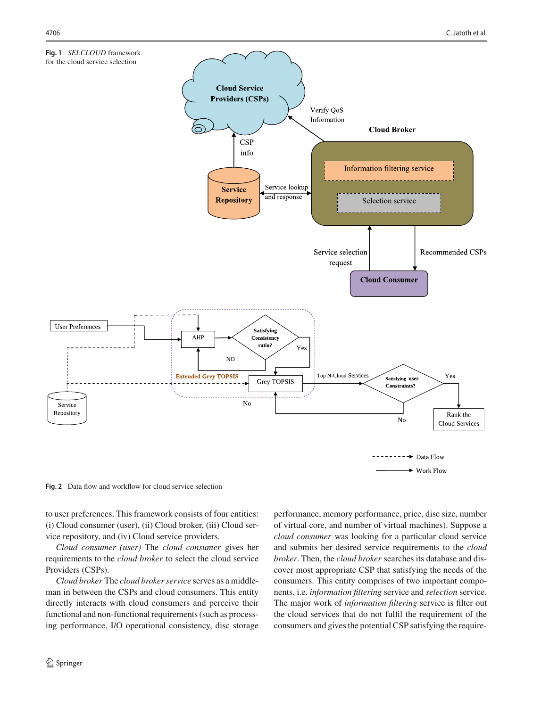<span id="page-5-0"></span>

<span id="page-5-1"></span>**Fig. 2** Data flow and workflow for cloud service selection

to user preferences. This framework consists of four entities: (i) Cloud consumer (user), (ii) Cloud broker, (iii) Cloud service repository, and (iv) Cloud service providers.

*Cloud consumer (user)* The *cloud consumer* gives her requirements to the *cloud broker* to select the cloud service Providers (CSPs).

*Cloud broker* The *cloud broker service* serves as a middleman in between the CSPs and cloud consumers. This entity directly interacts with cloud consumers and perceive their functional and non-functional requirements (such as processing performance, I/O operational consistency, disc storage

<sup>2</sup> Springer

performance, memory performance, price, disc size, number of virtual core, and number of virtual machines). Suppose a *cloud consumer* was looking for a particular cloud service and submits her desired service requirements to the *cloud broker*. Then, the *cloud broker* searches its database and discover most appropriate CSP that satisfying the needs of the consumers. This entity comprises of two important components, i.e. *information filtering* service and *selection* service. The major work of *information filtering* service is filter out the cloud services that do not fulfil the requirement of the consumers and gives the potential CSP satisfying the require-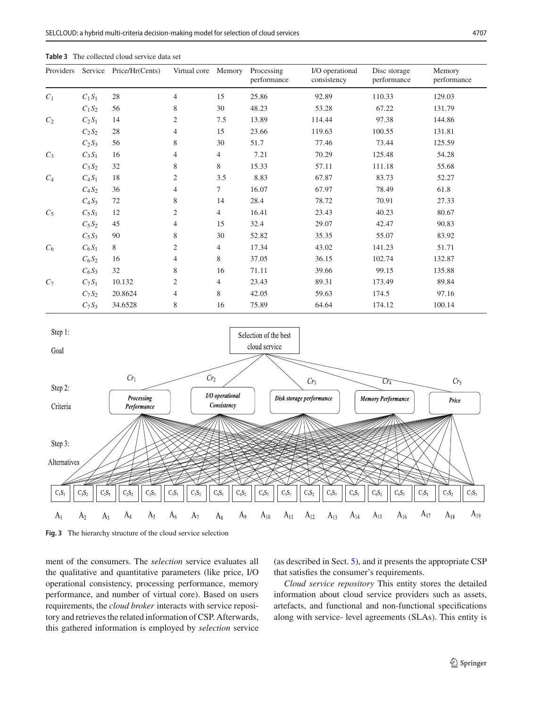<span id="page-6-1"></span>

| Providers      | Service  | Price/Hr(Cents) | Virtual core   | Memory         | Processing<br>performance | I/O operational<br>consistency | Disc storage<br>performance | Memory<br>performance |
|----------------|----------|-----------------|----------------|----------------|---------------------------|--------------------------------|-----------------------------|-----------------------|
| $C_1$          | $C_1S_1$ | 28              | 4              | 15             | 25.86                     | 92.89                          | 110.33                      | 129.03                |
|                | $C_1S_2$ | 56              | 8              | 30             | 48.23                     | 53.28                          | 67.22                       | 131.79                |
| $C_2$          | $C_2S_1$ | 14              | 2              | 7.5            | 13.89                     | 114.44                         | 97.38                       | 144.86                |
|                | $C_2S_2$ | 28              | 4              | 15             | 23.66                     | 119.63                         | 100.55                      | 131.81                |
|                | $C_2S_3$ | 56              | 8              | 30             | 51.7                      | 77.46                          | 73.44                       | 125.59                |
| $C_3$          | $C_3S_1$ | 16              | $\overline{4}$ | $\overline{4}$ | 7.21                      | 70.29                          | 125.48                      | 54.28                 |
|                | $C_3S_2$ | 32              | 8              | 8              | 15.33                     | 57.11                          | 111.18                      | 55.68                 |
| $C_4$          | $C_4S_1$ | 18              | 2              | 3.5            | 8.83                      | 67.87                          | 83.73                       | 52.27                 |
|                | $C_4S_2$ | 36              | 4              | 7              | 16.07                     | 67.97                          | 78.49                       | 61.8                  |
|                | $C_4S_3$ | 72              | 8              | 14             | 28.4                      | 78.72                          | 70.91                       | 27.33                 |
| $C_5$          | $C_5S_1$ | 12              | 2              | $\overline{4}$ | 16.41                     | 23.43                          | 40.23                       | 80.67                 |
|                | $C_5S_2$ | 45              | 4              | 15             | 32.4                      | 29.07                          | 42.47                       | 90.83                 |
|                | $C_5S_3$ | 90              | 8              | 30             | 52.82                     | 35.35                          | 55.07                       | 83.92                 |
| $C_6$          | $C_6S_1$ | 8               | 2              | $\overline{4}$ | 17.34                     | 43.02                          | 141.23                      | 51.71                 |
|                | $C_6S_2$ | 16              | 4              | 8              | 37.05                     | 36.15                          | 102.74                      | 132.87                |
|                | $C_6S_3$ | 32              | 8              | 16             | 71.11                     | 39.66                          | 99.15                       | 135.88                |
| C <sub>7</sub> | $C_7S_1$ | 10.132          | 2              | $\overline{4}$ | 23.43                     | 89.31                          | 173.49                      | 89.84                 |
|                | $C_7S_2$ | 20.8624         | 4              | 8              | 42.05                     | 59.63                          | 174.5                       | 97.16                 |
|                | $C_7S_3$ | 34.6528         | 8              | 16             | 75.89                     | 64.64                          | 174.12                      | 100.14                |

**Table 3** The collected cloud service data set



<span id="page-6-0"></span>**Fig. 3** The hierarchy structure of the cloud service selection

ment of the consumers. The *selection* service evaluates all the qualitative and quantitative parameters (like price, I/O operational consistency, processing performance, memory performance, and number of virtual core). Based on users requirements, the *cloud broker* interacts with service repository and retrieves the related information of CSP. Afterwards, this gathered information is employed by *selection* service (as described in Sect. [5\)](#page-7-0), and it presents the appropriate CSP that satisfies the consumer's requirements.

*Cloud service repository* This entity stores the detailed information about cloud service providers such as assets, artefacts, and functional and non-functional specifications along with service- level agreements (SLAs). This entity is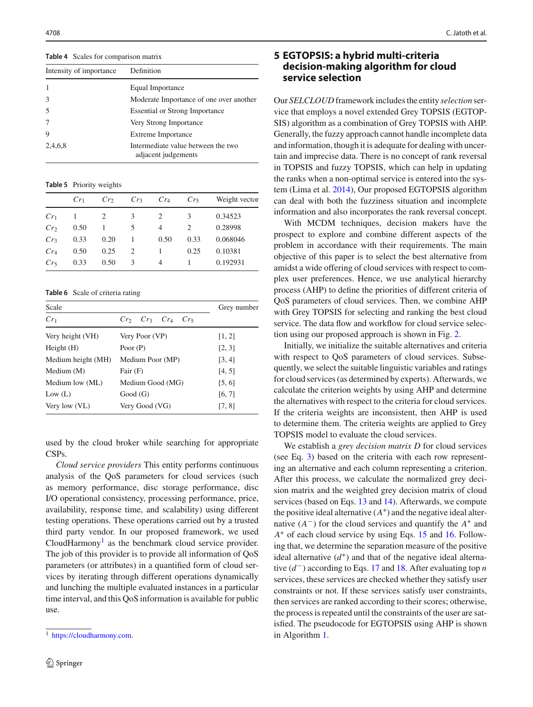<span id="page-7-1"></span>**Table 4** Scales for comparison matrix

| Intensity of importance | Definition                                                |
|-------------------------|-----------------------------------------------------------|
|                         | Equal Importance                                          |
| 3                       | Moderate Importance of one over another                   |
|                         | <b>Essential or Strong Importance</b>                     |
|                         | Very Strong Importance                                    |
| q                       | Extreme Importance                                        |
| 2,4,6,8                 | Intermediate value between the two<br>adjacent judgements |

**Table 5** Priority weights

<span id="page-7-3"></span>

|                 | Cr <sub>1</sub> | Cr <sub>2</sub> | Cr <sub>3</sub> | $Cr_4$        | Cr <sub>5</sub>               | Weight vector |
|-----------------|-----------------|-----------------|-----------------|---------------|-------------------------------|---------------|
| Cr <sub>1</sub> |                 |                 | 3               | $\mathcal{D}$ | 3                             | 0.34523       |
| Cr <sub>2</sub> | 0.50            |                 | 5               | 4             | $\mathfrak{D}_{\mathfrak{p}}$ | 0.28998       |
| Cr <sub>3</sub> | 0.33            | 0.20            |                 | 0.50          | 0.33                          | 0.068046      |
| $Cr_4$          | 0.50            | 0.25            | 2               |               | 0.25                          | 0.10381       |
| Cr <sub>5</sub> | 0.33            | 0.50            | 3               | 4             |                               | 0.192931      |

**Table 6** Scale of criteria rating

<span id="page-7-4"></span>

| Scale              |                                         | Grey number |  |
|--------------------|-----------------------------------------|-------------|--|
| Cr <sub>1</sub>    | $Cr_2$ $Cr_3$ $Cr_4$<br>Cr <sub>5</sub> |             |  |
| Very height (VH)   | Very Poor (VP)                          | [1, 2]      |  |
| Height(H)          | Poor $(P)$                              | [2, 3]      |  |
| Medium height (MH) | Medium Poor (MP)                        | [3, 4]      |  |
| Medium $(M)$       | Fair $(F)$                              | [4, 5]      |  |
| Medium low (ML)    | Medium Good (MG)                        | [5, 6]      |  |
| Low (L)            | Good(G)                                 | [6, 7]      |  |
| Very low (VL)      | Very Good (VG)                          | [7, 8]      |  |

used by the cloud broker while searching for appropriate CSPs.

*Cloud service providers* This entity performs continuous analysis of the QoS parameters for cloud services (such as memory performance, disc storage performance, disc I/O operational consistency, processing performance, price, availability, response time, and scalability) using different testing operations. These operations carried out by a trusted third party vendor. In our proposed framework, we used  $CloudHarmony<sup>1</sup>$  as the benchmark cloud service provider. The job of this provider is to provide all information of QoS parameters (or attributes) in a quantified form of cloud services by iterating through different operations dynamically and lunching the multiple evaluated instances in a particular time interval, and this QoS information is available for public use.

# <span id="page-7-0"></span>**5 EGTOPSIS: a hybrid multi-criteria decision-making algorithm for cloud service selection**

Our *SELCLOUD* framework includes the entity *selection* service that employs a novel extended Grey TOPSIS (EGTOP-SIS) algorithm as a combination of Grey TOPSIS with AHP. Generally, the fuzzy approach cannot handle incomplete data and information, though it is adequate for dealing with uncertain and imprecise data. There is no concept of rank reversal in TOPSIS and fuzzy TOPSIS, which can help in updating the ranks when a non-optimal service is entered into the system (Lima et al[.](#page-13-19) [2014\)](#page-13-19), Our proposed EGTOPSIS algorithm can deal with both the fuzziness situation and incomplete information and also incorporates the rank reversal concept.

With MCDM techniques, decision makers have the prospect to explore and combine different aspects of the problem in accordance with their requirements. The main objective of this paper is to select the best alternative from amidst a wide offering of cloud services with respect to complex user preferences. Hence, we use analytical hierarchy process (AHP) to define the priorities of different criteria of QoS parameters of cloud services. Then, we combine AHP with Grey TOPSIS for selecting and ranking the best cloud service. The data flow and workflow for cloud service selection using our proposed approach is shown in Fig. [2.](#page-5-1)

Initially, we initialize the suitable alternatives and criteria with respect to QoS parameters of cloud services. Subsequently, we select the suitable linguistic variables and ratings for cloud services (as determined by experts). Afterwards, we calculate the criterion weights by using AHP and determine the alternatives with respect to the criteria for cloud services. If the criteria weights are inconsistent, then AHP is used to determine them. The criteria weights are applied to Grey TOPSIS model to evaluate the cloud services.

We establish a *grey decision matrix D* for cloud services (see Eq. [3\)](#page-3-3) based on the criteria with each row representing an alternative and each column representing a criterion. After this process, we calculate the normalized grey decision matrix and the weighted grey decision matrix of cloud services (based on Eqs. [13](#page-8-1) and [14\)](#page-8-2). Afterwards, we compute the positive ideal alternative  $(A^*)$  and the negative ideal alternative (*A*−) for the cloud services and quantify the *A*∗ and *A*<sup>∗</sup> of each cloud service by using Eqs. [15](#page-8-3) and [16.](#page-8-4) Following that, we determine the separation measure of the positive ideal alternative  $(d^*)$  and that of the negative ideal alternative (*d*−) according to Eqs. [17](#page-8-5) and [18.](#page-8-6) After evaluating top *n* services, these services are checked whether they satisfy user constraints or not. If these services satisfy user constraints, then services are ranked according to their scores; otherwise, the process is repeated until the constraints of the user are satisfied. The pseudocode for EGTOPSIS using AHP is shown in Algorithm [1.](#page-8-7)

<span id="page-7-2"></span><sup>1</sup> [https://cloudharmony.com.](https://cloudharmony.com)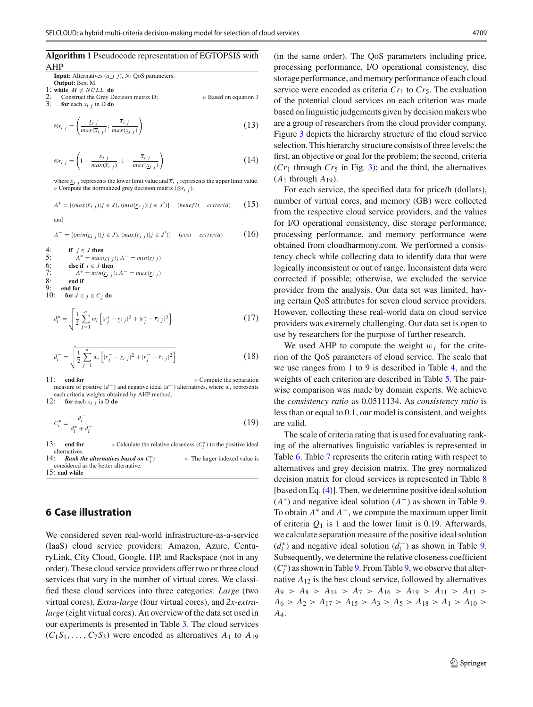## <span id="page-8-7"></span>**Algorithm 1** Pseudocode representation of EGTOPSIS with AHP

**Input:** Alternatives (*a*\_*i j*), *N*: QoS parameters. **Output:** Best M. 1: while  $M \neq NULL$  do

- 
- 2: Construct the Grey Decision matrix D;  $\triangleright$  Based on equation [3](#page-3-3)<br>3: for each  $x_i$ ; in D do **for** each  $x_i$  *j* in D **do**

$$
\otimes r_{i j} = \left(\frac{\underline{x}_{i j}}{\max(\overline{x}_{i j})}; \frac{\overline{x}_{i j}}{\max(\underline{x}_{i j})}\right) \tag{13}
$$

$$
\otimes r_{i j} = \left(1 - \frac{x_{i j}}{\max(\overline{x}_{i j})}; 1 - \frac{\overline{x}_{i j}}{\max(x_{i j})}\right)
$$
(14)

where  $x_i$  *j* represents the lower limit value and  $\overline{x}_i$  *j* represents the upper limit value. Compute the normalized grey decision matrix (⊗*ri j*).

$$
A^* = \{(\max(\overline{r}_{i\ j}) | j \in J), (\min(\underline{r}_{i\ j}) | j \in J')\} \quad (benefit \quad criteria) \tag{15}
$$

and

*A*<sup>−</sup> = { $(\min(r_i, j)| j \in J)$ ,  $(\max(\overline{r_i}, j)| j \in J')$ } (*cost criteria*) (16)

4: **if**  $j \in J$  **then**<br>5:  $A^* = max$ 5:  $A^* = max(r_i j); A^- = min(r_i j)$ <br>6: **else if**  $j \in J$  then 6: **else if**  $j \in J$  **then**<br>7:  $A^* = min(r_i)$ 7:  $A^* = min(r_i, j); A^- = max(r_i, j)$ <br>8: end if 8: **end if** 9: **end for**  $10 \cdot 6r$ **for**  $J \in j \in C_j$  **do** 

$$
d_i^* = \sqrt{\frac{1}{2} \sum_{j=1}^n w_i \left[ |r_j^* - r_{i\,j}|^2 + |r_j^* - \overline{r}_{i\,j}|^2 \right]}
$$
 (17)

$$
d_i^- = \sqrt{\frac{1}{2} \sum_{j=1}^n w_i \left[ |r_j^- - r_{i\,j}|^2 + |r_j^- - \bar{r}_{i\,j}|^2 \right]}\tag{18}
$$

11: **end for compute the separation** measure of positive (*d*<sup>+</sup>) and negative ideal (*d*<sup>−</sup>) alternatives, where *w<sub>i</sub>* represents each criteria weights obtained by AHP method.<br>12: for each  $x_i$ : in D do

**for** each  $x_i$  *j* in D **do** 

$$
C_i^* = \frac{d_i^-}{d_i^* + d_i^-}
$$
 (19)

13: **end for**  $\triangleright$  Calculate the relative closeness  $(C_i^*)$  to the positive ideal alternatives<br>14: Rank t *Rank the alternatives based on*  $C_i^*$ , *<sup>i</sup> ;* The larger indexed value is considered as the better alternative. 15: **end while**

## <span id="page-8-0"></span>**6 Case illustration**

We considered seven real-world infrastructure-as-a-service (IaaS) cloud service providers: Amazon, Azure, CenturyLink, City Cloud, Google, HP, and Rackspace (not in any order). These cloud service providers offer two or three cloud services that vary in the number of virtual cores. We classified these cloud services into three categories: *Large* (two virtual cores), *Extra-large* (four virtual cores), and *2x-extralarge* (eight virtual cores). An overview of the data set used in our experiments is presented in Table [3.](#page-6-1) The cloud services  $(C_1 S_1, \ldots, C_7 S_3)$  were encoded as alternatives  $A_1$  to  $A_{19}$ 

<span id="page-8-1"></span>(in the same order). The QoS parameters including price, processing performance, I/O operational consistency, disc storage performance, and memory performance of each cloud service were encoded as criteria  $Cr_1$  to  $Cr_5$ . The evaluation of the potential cloud services on each criterion was made based on linguistic judgements given by decision makers who are a group of researchers from the cloud provider company. Figure [3](#page-6-0) depicts the hierarchy structure of the cloud service selection. This hierarchy structure consists of three levels: the first, an objective or goal for the problem; the second, criteria  $(Cr_1$  through  $Cr_5$  in Fig. [3\)](#page-6-0); and the third, the alternatives  $(A_1$  through  $A_{19}$ ).

<span id="page-8-4"></span><span id="page-8-3"></span><span id="page-8-2"></span>For each service, the specified data for price/h (dollars), number of virtual cores, and memory (GB) were collected from the respective cloud service providers, and the values for I/O operational consistency, disc storage performance, processing performance, and memory performance were obtained from cloudharmony.com. We performed a consistency check while collecting data to identify data that were logically inconsistent or out of range. Inconsistent data were corrected if possible; otherwise, we excluded the service provider from the analysis. Our data set was limited, having certain QoS attributes for seven cloud service providers. However, collecting these real-world data on cloud service providers was extremely challenging. Our data set is open to use by researchers for the purpose of further research.

<span id="page-8-6"></span><span id="page-8-5"></span>We used AHP to compute the weight  $w_i$  for the criterion of the QoS parameters of cloud service. The scale that we use ranges from 1 to 9 is described in Table [4,](#page-7-1) and the weights of each criterion are described in Table [5.](#page-7-3) The pairwise comparison was made by domain experts. We achieve the *consistency ratio* as 0.0511134. As *consistency ratio* is less than or equal to 0.1, our model is consistent, and weights are valid.

The scale of criteria rating that is used for evaluating ranking of the alternatives linguistic variables is represented in Table [6.](#page-7-4) Table [7](#page-9-1) represents the criteria rating with respect to alternatives and grey decision matrix. The grey normalized decision matrix for cloud services is represented in Table [8](#page-10-0) [based on Eq. [\(4\)](#page-4-1)]. Then, we determine positive ideal solution (*A*∗) and negative ideal solution (*A*−) as shown in Table [9.](#page-10-1) To obtain *A*∗ and *A*−, we compute the maximum upper limit of criteria  $Q_1$  is 1 and the lower limit is 0.19. Afterwards, we calculate separation measure of the positive ideal solution  $(d_i^*)$  and negative ideal solution  $(d_i^-)$  as shown in Table [9.](#page-10-1) Subsequently, we determine the relative closeness coefficient  $(C_i^*)$  as shown in Table [9.](#page-10-1) From Table [9,](#page-10-1) we observe that alternative *A*<sup>12</sup> is the best cloud service, followed by alternatives  $A_9 > A_8 > A_{14} > A_7 > A_{16} > A_{19} > A_{11} > A_{13} >$  $A_6 > A_2 > A_{17} > A_{15} > A_3 > A_5 > A_{18} > A_1 > A_{10} >$ *A*4.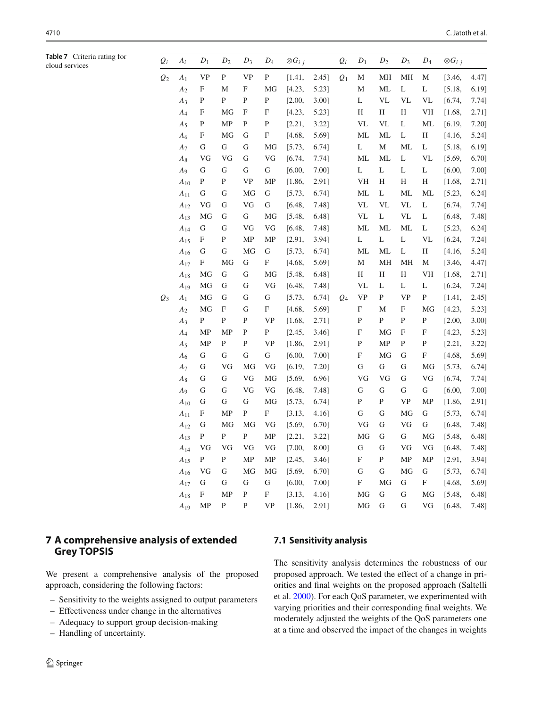<span id="page-9-1"></span>

| $Q_i$<br>$\mathcal{D}_1$<br>$D_2$<br>$A_i$<br>$D_1$<br>$D_2$<br>$D_3$<br>$Q_i$<br>$D_3$<br>$D_4$<br>$D_4$<br>$\otimes G_{i,j}$<br>cloud services  | $\otimes G_{i,j}$ |
|---------------------------------------------------------------------------------------------------------------------------------------------------|-------------------|
| P<br><b>VP</b><br><b>VP</b><br>P<br>MH<br>MH<br>Q <sub>2</sub><br>A <sub>1</sub><br>[1.41,<br>2.45]<br>$Q_1$<br>M<br>M                            | 4.47]<br>[3.46,   |
| $\mathbf L$<br>F<br>M<br>F<br>MG<br>[4.23,<br>5.23]<br>ML<br>L<br>A <sub>2</sub><br>М                                                             | [5.18,<br>6.19]   |
| $\mathbf P$<br>$\mathbf P$<br>$\mathbf P$<br>$\ensuremath{\text{VL}}$<br>$\ensuremath{\text{VL}}$<br>P<br>[2.00,<br>3.00]<br>L<br>VL<br>$A_3$     | [6.74,<br>7.74]   |
| F<br>MG<br>$\boldsymbol{\mathrm{F}}$<br>[4.23,<br>Η<br>H<br>VH<br>$A_4$<br>F<br>5.23]<br>Η                                                        | [1.68,<br>2.71]   |
| ${\bf P}$<br>MP<br>${\bf P}$<br>$\ensuremath{\text{VL}}$<br>P<br>[2.21,<br>3.22]<br>VL<br>L<br>ML<br>$A_5$                                        | [6.19,<br>7.20]   |
| F<br>MG<br>F<br>5.69]<br>ML<br>ML<br>L<br>$A_6$<br>G<br>[4.68,<br>Η                                                                               | [4.16,<br>5.24]   |
| ${\bf G}$<br>G<br>[5.73,<br>$A_7$<br>G<br>6.74]<br>L<br>М<br>МL<br>L<br>MG                                                                        | [5.18,<br>6.19]   |
| VG<br>VG<br>G<br>VG<br>[6.74,<br>7.74]<br>ML<br><b>ML</b><br>L<br>VL<br>$A_8$                                                                     | [5.69,<br>6.70]   |
| G<br>G<br>G<br>G<br>[6.00,<br>7.00]<br>$\mathbf L$<br>L<br>L<br>A <sub>9</sub><br>L                                                               | [6.00,<br>7.00]   |
| P<br>${\bf P}$<br>$\mathbf{V}\mathbf{H}$<br>H<br>$A_{10}$<br><b>VP</b><br><b>MP</b><br>[1.86,<br>2.91]<br>H<br>H                                  | [1.68,<br>2.71]   |
| $\mathbf G$<br>$\mathbf L$<br>G<br>MG<br>G<br>[5.73,<br>6.74]<br>ML<br>ML<br>ML<br>$\mathcal{A}_{11}$                                             | [5.23,<br>6.24]   |
| $\rm{VG}$<br>${\bf G}$<br>VG<br>${\bf G}$<br>[6.48,<br><b>VL</b><br><b>VL</b><br><b>VL</b><br>L<br>7.48]<br>$A_{12}$                              | [6.74,<br>7.74]   |
| $\mbox{VL}$<br>$\mathbf L$<br>$\ensuremath{\text{VL}}$<br>MG<br>G<br>G<br>MG<br>[5.48,<br>6.48]<br>L<br>$A_{13}$                                  | [6.48,<br>7.48]   |
| G<br>G<br>VG<br>VG<br>[6.48,<br>7.48]<br>$\mbox{ML}$<br>ML<br>ML<br>L<br>$\mathcal{A}_{14}$                                                       | [5.23,<br>6.24]   |
| F<br>MP<br>P<br><b>MP</b><br>[2.91,<br>3.94]<br>L<br>L<br>VL<br>$A_{15}$<br>L                                                                     | [6.24,<br>7.24]   |
| G<br>G<br>MG<br>[5.73,<br>6.74]<br>ML<br>ML<br>L<br>$A_{16}$<br>G<br>Η                                                                            | [4.16,<br>5.24]   |
| F<br>MG<br>$\mathbf G$<br>F<br>[4.68,<br>5.69]<br>MH<br>${\cal A}_{17}$<br>М<br>MH<br>M                                                           | [3.46,<br>4.47]   |
| ${\bf G}$<br>${\bf G}$<br>H<br>MG<br>MG<br>[5.48,<br>6.48]<br>H<br>H<br><b>VH</b><br>$\mathcal{A}_{18}$                                           | [1.68,<br>2.71]   |
| MG<br>G<br>G<br>VL<br>L<br>L<br>L<br>VG<br>[6.48,<br>7.48]<br>$A_{19}$                                                                            | [6.24,<br>7.24]   |
| <b>VP</b><br>$\mathbf P$<br><b>VP</b><br>${\bf P}$<br>MG<br>G<br>G<br>G<br>[5.73,<br>6.74]<br>$Q_3$<br>A <sub>1</sub><br>$Q_4$                    | [1.41,<br>2.45]   |
| MG<br>$\mathbf F$<br>$\boldsymbol{\mathrm{F}}$<br>G<br>F<br>[4.68,<br>5.69]<br>F<br>A <sub>2</sub><br>М<br>MG                                     | [4.23,<br>5.23]   |
| P<br>${\bf P}$<br>${\bf P}$<br>P<br><b>VP</b><br>2.71]<br>P<br>P<br>P<br>$A_3$<br>[1.68,                                                          | [2.00,<br>3.00]   |
| MP<br>MP<br>$\mathbf P$<br>P<br>[2.45,<br>3.46]<br>F<br>MG<br>F<br>F<br>$A_4$                                                                     | [4.23,<br>5.23]   |
| P<br>${\bf P}$<br>MP<br>P<br>MP<br><b>VP</b><br>[1.86,<br>2.91]<br>P<br>P<br>$A_5$                                                                | [2.21,<br>3.22]   |
| ${\bf G}$<br>${\bf G}$<br>${\bf G}$<br>[6.00,<br>7.00]<br>$\boldsymbol{\mathrm{F}}$<br>MG<br>${\bf G}$<br>$\boldsymbol{\mathrm{F}}$<br>$A_6$<br>G | [4.68,<br>5.69]   |
| ${\bf G}$<br>7.20]<br>${\bf G}$<br>G<br>${\bf G}$<br>VG<br>MG<br>VG<br>[6.19,<br>MG<br>$A_7$                                                      | [5.73,<br>6.74]   |
| G<br>G<br>VG<br>MG<br>[5.69,<br>6.96]<br>VG<br>VG<br>G<br>VG<br>As                                                                                | [6.74,<br>7.74]   |
| ${\bf G}$<br>${\bf G}$<br>VG<br>[6.48,<br>${\bf G}$<br>${\bf G}$<br>VG<br>7.48]<br>G<br>G<br>$A_9$                                                | [6.00,<br>7.00]   |
| ${\bf P}$<br><b>VP</b><br>G<br>G<br>${\bf G}$<br>MG<br>[5.73,<br>6.74]<br>P<br>MP<br>$A_{10}$                                                     | [1.86,<br>2.91]   |
| F<br>MP<br>${\bf P}$<br>F<br>[3.13,<br>4.16]<br>${\bf G}$<br>MG<br>G<br>G<br>$A_{11}$                                                             | [5.73,<br>6.74]   |
| G<br>MG<br>MG<br>VG<br>[5.69,<br>6.70]<br>VG<br>G<br>VG<br>G<br>$A_{12}$                                                                          | [6.48,<br>7.48]   |
| P<br>P<br>${\bf P}$<br>MP<br>[2.21,<br>3.22]<br>MG<br>G<br>G<br>MG<br>$A_{13}$                                                                    | [5.48,<br>6.48]   |
| $\rm{VG}$<br>$\rm{VG}$<br>${\bf G}$<br>$\rm{VG}$<br>VG<br>VG<br>[7.00,<br>8.00]<br>G<br>VG<br>$A_{14}$                                            | [6.48,<br>7.48]   |
| P<br>P<br>MP<br>$\boldsymbol{\mathrm{F}}$<br>${\bf P}$<br>MP<br>MP<br>MP<br>[2.45,<br>3.46]<br>$A_{15}$                                           | [2.91,<br>3.94]   |
| VG<br>6.70]<br>G<br>G<br>G<br>MG<br>MG<br>[5.69,<br>MG<br>G<br>$A_{16}$                                                                           | [5.73,<br>6.74]   |
| ${\bf G}$<br>G<br>$\boldsymbol{\mathrm{F}}$<br>${\bf G}$<br>$\boldsymbol{\mathrm{F}}$<br>G<br>G<br>[6.00,<br>7.00]<br>MG<br>$A_{17}$              | [4.68,<br>5.69]   |
| F<br>$\mathbf G$<br>MP<br>P<br>F<br>4.16]<br>MG<br>G<br>$A_{18}$<br>[3.13,<br>MG                                                                  | [5.48,<br>6.48]   |
| P<br>$\mathbf P$<br><b>VP</b><br>G<br>G<br>VG<br>MP<br>[1.86,<br>2.91]<br>MG<br>$A_{19}$                                                          | [6.48,<br>7.48]   |

# <span id="page-9-0"></span>**7 A comprehensive analysis of extended Grey TOPSIS**

## We present a comprehensive analysis of the proposed approach, considering the following factors:

- Sensitivity to the weights assigned to output parameters
- Effectiveness under change in the alternatives
- Adequacy to support group decision-making
- Handling of uncertainty.

## **7.1 Sensitivity analysis**

The sensitivity analysis determines the robustness of our proposed approach. We tested the effect of a change in priorities and final weights on the proposed approach (Saltelli et al[.](#page-13-33) [2000\)](#page-13-33). For each QoS parameter, we experimented with varying priorities and their corresponding final weights. We moderately adjusted the weights of the QoS parameters one at a time and observed the impact of the changes in weights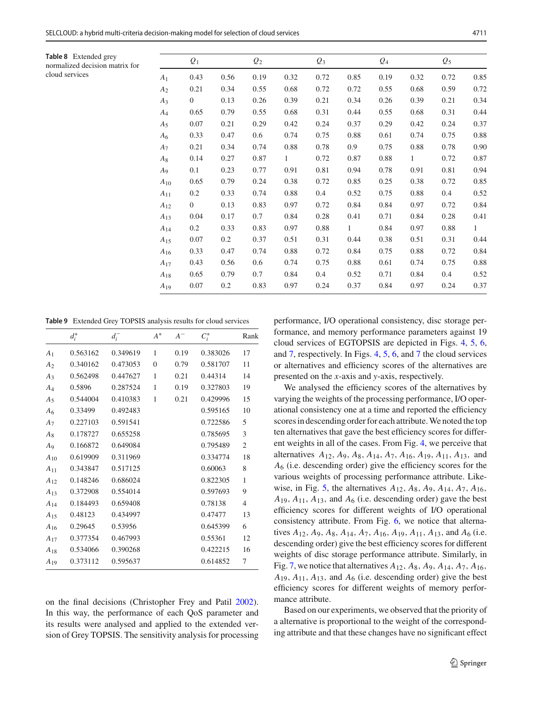**Table** norm

<span id="page-10-0"></span>

| <b>Table 8</b> Extended grey<br>normalized decision matrix for |                | $Q_1$          |      | $\mathcal{Q}_2$ |              | $Q_3$ |              | $Q_4$ |              | $Q_5$ |              |
|----------------------------------------------------------------|----------------|----------------|------|-----------------|--------------|-------|--------------|-------|--------------|-------|--------------|
| cloud services                                                 | A <sub>1</sub> | 0.43           | 0.56 | 0.19            | 0.32         | 0.72  | 0.85         | 0.19  | 0.32         | 0.72  | 0.85         |
|                                                                | $A_2$          | 0.21           | 0.34 | 0.55            | 0.68         | 0.72  | 0.72         | 0.55  | 0.68         | 0.59  | 0.72         |
|                                                                | $A_3$          | $\mathbf{0}$   | 0.13 | 0.26            | 0.39         | 0.21  | 0.34         | 0.26  | 0.39         | 0.21  | 0.34         |
|                                                                | $A_4$          | 0.65           | 0.79 | 0.55            | 0.68         | 0.31  | 0.44         | 0.55  | 0.68         | 0.31  | 0.44         |
|                                                                | $A_5$          | 0.07           | 0.21 | 0.29            | 0.42         | 0.24  | 0.37         | 0.29  | 0.42         | 0.24  | 0.37         |
|                                                                | $A_6$          | 0.33           | 0.47 | 0.6             | 0.74         | 0.75  | 0.88         | 0.61  | 0.74         | 0.75  | 0.88         |
|                                                                | $A_7$          | 0.21           | 0.34 | 0.74            | 0.88         | 0.78  | 0.9          | 0.75  | 0.88         | 0.78  | 0.90         |
|                                                                | $A_8$          | 0.14           | 0.27 | 0.87            | $\mathbf{1}$ | 0.72  | 0.87         | 0.88  | $\mathbf{1}$ | 0.72  | 0.87         |
|                                                                | A <sub>9</sub> | 0.1            | 0.23 | 0.77            | 0.91         | 0.81  | 0.94         | 0.78  | 0.91         | 0.81  | 0.94         |
|                                                                | $A_{10}$       | 0.65           | 0.79 | 0.24            | 0.38         | 0.72  | 0.85         | 0.25  | 0.38         | 0.72  | 0.85         |
|                                                                | $A_{11}$       | 0.2            | 0.33 | 0.74            | 0.88         | 0.4   | 0.52         | 0.75  | 0.88         | 0.4   | 0.52         |
|                                                                | $A_{12}$       | $\overline{0}$ | 0.13 | 0.83            | 0.97         | 0.72  | 0.84         | 0.84  | 0.97         | 0.72  | 0.84         |
|                                                                | $A_{13}$       | 0.04           | 0.17 | 0.7             | 0.84         | 0.28  | 0.41         | 0.71  | 0.84         | 0.28  | 0.41         |
|                                                                | $A_{14}$       | 0.2            | 0.33 | 0.83            | 0.97         | 0.88  | $\mathbf{1}$ | 0.84  | 0.97         | 0.88  | $\mathbf{1}$ |
|                                                                | $A_{15}$       | 0.07           | 0.2  | 0.37            | 0.51         | 0.31  | 0.44         | 0.38  | 0.51         | 0.31  | 0.44         |
|                                                                | $A_{16}$       | 0.33           | 0.47 | 0.74            | 0.88         | 0.72  | 0.84         | 0.75  | 0.88         | 0.72  | 0.84         |
|                                                                | $A_{17}$       | 0.43           | 0.56 | 0.6             | 0.74         | 0.75  | 0.88         | 0.61  | 0.74         | 0.75  | 0.88         |
|                                                                | $A_{18}$       | 0.65           | 0.79 | 0.7             | 0.84         | 0.4   | 0.52         | 0.71  | 0.84         | 0.4   | 0.52         |
|                                                                | $A_{19}$       | 0.07           | 0.2  | 0.83            | 0.97         | 0.24  | 0.37         | 0.84  | 0.97         | 0.24  | 0.37         |

<span id="page-10-1"></span>**Table 9** Extended Grey TOPSIS analysis results for cloud services

|                    | $d_i^*$  | $d_i^-$  | $A^*$    | $A^-$ | $C_i^*$  | Rank           |
|--------------------|----------|----------|----------|-------|----------|----------------|
| A <sub>1</sub>     | 0.563162 | 0.349619 | 1        | 0.19  | 0.383026 | 17             |
| A <sub>2</sub>     | 0.340162 | 0.473053 | $\Omega$ | 0.79  | 0.581707 | 11             |
| $A_3$              | 0.562498 | 0.447627 | 1        | 0.21  | 0.44314  | 14             |
| $A_4$              | 0.5896   | 0.287524 | 1        | 0.19  | 0.327803 | 19             |
| $A_5$              | 0.544004 | 0.410383 | 1        | 0.21  | 0.429996 | 15             |
| A <sub>6</sub>     | 0.33499  | 0.492483 |          |       | 0.595165 | 10             |
| $A_7$              | 0.227103 | 0.591541 |          |       | 0.722586 | 5              |
| As                 | 0.178727 | 0.655258 |          |       | 0.785695 | 3              |
| A <sub>9</sub>     | 0.166872 | 0.649084 |          |       | 0.795489 | $\mathfrak{2}$ |
| $\mathcal{A}_{10}$ | 0.619909 | 0.311969 |          |       | 0.334774 | 18             |
| $A_{11}$           | 0.343847 | 0.517125 |          |       | 0.60063  | 8              |
| $A_{12}$           | 0.148246 | 0.686024 |          |       | 0.822305 | 1              |
| $A_{13}$           | 0.372908 | 0.554014 |          |       | 0.597693 | 9              |
| $A_{14}$           | 0.184493 | 0.659408 |          |       | 0.78138  | $\overline{4}$ |
| $A_{15}$           | 0.48123  | 0.434997 |          |       | 0.47477  | 13             |
| $A_{16}$           | 0.29645  | 0.53956  |          |       | 0.645399 | 6              |
| $A_{17}$           | 0.377354 | 0.467993 |          |       | 0.55361  | 12             |
| $A_{18}$           | 0.534066 | 0.390268 |          |       | 0.422215 | 16             |
| $A_{19}$           | 0.373112 | 0.595637 |          |       | 0.614852 | 7              |

on the final decisions (Christopher Frey and Pati[l](#page-13-34) [2002](#page-13-34)). In this way, the performance of each QoS parameter and its results were analysed and applied to the extended version of Grey TOPSIS. The sensitivity analysis for processing performance, I/O operational consistency, disc storage performance, and memory performance parameters against 19 cloud services of EGTOPSIS are depicted in Figs. [4,](#page-11-0) [5,](#page-11-1) [6,](#page-11-2) and [7,](#page-12-1) respectively. In Figs. [4,](#page-11-0) [5,](#page-11-1) [6,](#page-11-2) and [7](#page-12-1) the cloud services or alternatives and efficiency scores of the alternatives are presented on the *x*-axis and *y*-axis, respectively.

We analysed the efficiency scores of the alternatives by varying the weights of the processing performance, I/O operational consistency one at a time and reported the efficiency scores in descending order for each attribute. We noted the top ten alternatives that gave the best efficiency scores for different weights in all of the cases. From Fig. [4,](#page-11-0) we perceive that alternatives *A*12, *A*9, *A*8, *A*14, *A*7, *A*16, *A*19, *A*11, *A*13, and *A*<sup>6</sup> (i.e. descending order) give the efficiency scores for the various weights of processing performance attribute. Like-wise, in Fig. [5,](#page-11-1) the alternatives  $A_{12}$ ,  $A_8$ ,  $A_9$ ,  $A_{14}$ ,  $A_7$ ,  $A_{16}$ ,  $A_{19}$ ,  $A_{11}$ ,  $A_{13}$ , and  $A_6$  (i.e. descending order) gave the best efficiency scores for different weights of I/O operational consistency attribute. From Fig. [6,](#page-11-2) we notice that alternatives  $A_{12}$ ,  $A_9$ ,  $A_8$ ,  $A_{14}$ ,  $A_7$ ,  $A_{16}$ ,  $A_{19}$ ,  $A_{11}$ ,  $A_{13}$ , and  $A_6$  (i.e. descending order) give the best efficiency scores for different weights of disc storage performance attribute. Similarly, in Fig. [7,](#page-12-1) we notice that alternatives  $A_{12}$ ,  $A_8$ ,  $A_9$ ,  $A_{14}$ ,  $A_7$ ,  $A_{16}$ ,  $A_{19}$ ,  $A_{11}$ ,  $A_{13}$ , and  $A_6$  (i.e. descending order) give the best efficiency scores for different weights of memory performance attribute.

Based on our experiments, we observed that the priority of a alternative is proportional to the weight of the corresponding attribute and that these changes have no significant effect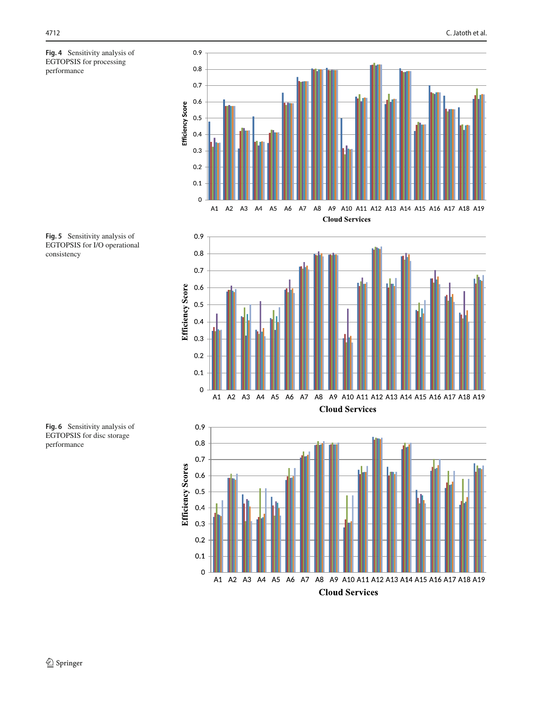<span id="page-11-0"></span>







<span id="page-11-1"></span>

<span id="page-11-2"></span>**Fig. 6** Sensitivity analysis of EGTOPSIS for disc storage performance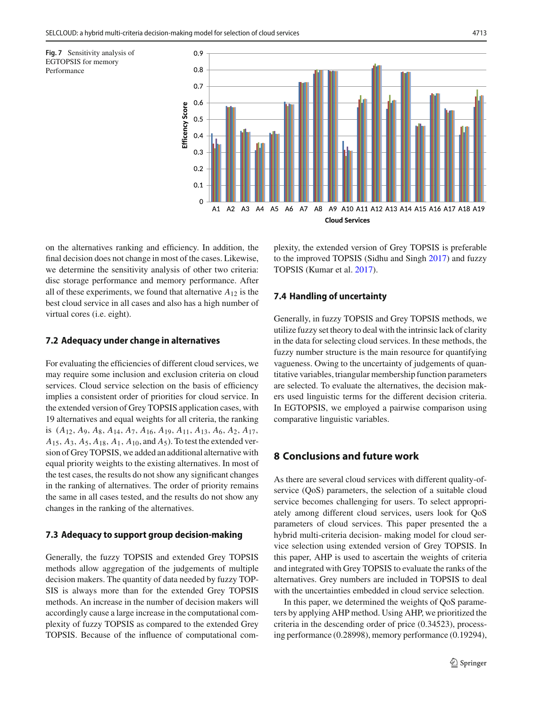<span id="page-12-1"></span>**Fig. 7** Sensitivity analysis of EGTOPSIS for memory

Performance



on the alternatives ranking and efficiency. In addition, the final decision does not change in most of the cases. Likewise, we determine the sensitivity analysis of other two criteria: disc storage performance and memory performance. After all of these experiments, we found that alternative  $A_{12}$  is the best cloud service in all cases and also has a high number of virtual cores (i.e. eight).

#### **7.2 Adequacy under change in alternatives**

For evaluating the efficiencies of different cloud services, we may require some inclusion and exclusion criteria on cloud services. Cloud service selection on the basis of efficiency implies a consistent order of priorities for cloud service. In the extended version of Grey TOPSIS application cases, with 19 alternatives and equal weights for all criteria, the ranking is (*A*12, *A*9, *A*8, *A*14, *A*7, *A*16, *A*19, *A*11, *A*13, *A*6, *A*2, *A*17, *A*15, *A*3, *A*5, *A*18, *A*1, *A*10, and *A*5). To test the extended version of Grey TOPSIS, we added an additional alternative with equal priority weights to the existing alternatives. In most of the test cases, the results do not show any significant changes in the ranking of alternatives. The order of priority remains the same in all cases tested, and the results do not show any changes in the ranking of the alternatives.

#### **7.3 Adequacy to support group decision-making**

Generally, the fuzzy TOPSIS and extended Grey TOPSIS methods allow aggregation of the judgements of multiple decision makers. The quantity of data needed by fuzzy TOP-SIS is always more than for the extended Grey TOPSIS methods. An increase in the number of decision makers will accordingly cause a large increase in the computational complexity of fuzzy TOPSIS as compared to the extended Grey TOPSIS. Because of the influence of computational complexity, the extended version of Grey TOPSIS is preferable to the improved TOPSIS (Sidhu and Sing[h](#page-14-6) [2017](#page-14-6)) and fuzzy TOPSIS (Kumar et al[.](#page-13-22) [2017\)](#page-13-22).

#### **7.4 Handling of uncertainty**

Generally, in fuzzy TOPSIS and Grey TOPSIS methods, we utilize fuzzy set theory to deal with the intrinsic lack of clarity in the data for selecting cloud services. In these methods, the fuzzy number structure is the main resource for quantifying vagueness. Owing to the uncertainty of judgements of quantitative variables, triangular membership function parameters are selected. To evaluate the alternatives, the decision makers used linguistic terms for the different decision criteria. In EGTOPSIS, we employed a pairwise comparison using comparative linguistic variables.

## <span id="page-12-0"></span>**8 Conclusions and future work**

As there are several cloud services with different quality-ofservice (QoS) parameters, the selection of a suitable cloud service becomes challenging for users. To select appropriately among different cloud services, users look for QoS parameters of cloud services. This paper presented the a hybrid multi-criteria decision- making model for cloud service selection using extended version of Grey TOPSIS. In this paper, AHP is used to ascertain the weights of criteria and integrated with Grey TOPSIS to evaluate the ranks of the alternatives. Grey numbers are included in TOPSIS to deal with the uncertainties embedded in cloud service selection.

In this paper, we determined the weights of QoS parameters by applying AHP method. Using AHP, we prioritized the criteria in the descending order of price (0.34523), processing performance (0.28998), memory performance (0.19294),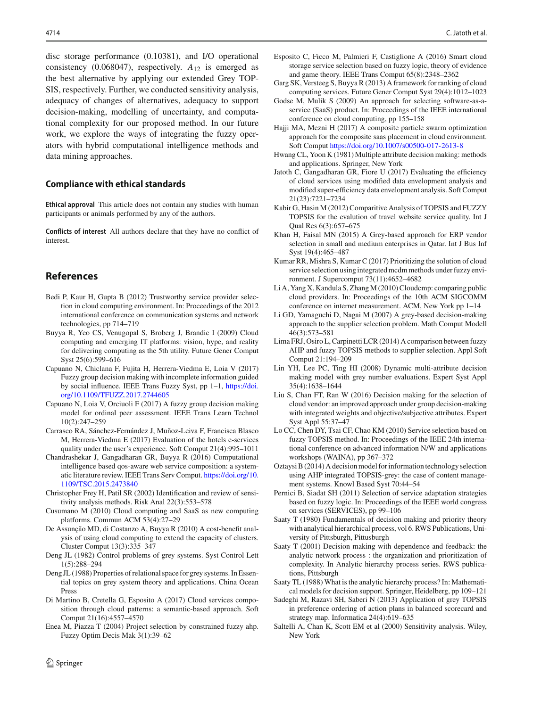disc storage performance (0.10381), and I/O operational consistency (0.068047), respectively.  $A_{12}$  is emerged as the best alternative by applying our extended Grey TOP-SIS, respectively. Further, we conducted sensitivity analysis, adequacy of changes of alternatives, adequacy to support decision-making, modelling of uncertainty, and computational complexity for our proposed method. In our future work, we explore the ways of integrating the fuzzy operators with hybrid computational intelligence methods and data mining approaches.

#### **Compliance with ethical standards**

**Ethical approval** This article does not contain any studies with human participants or animals performed by any of the authors.

**Conflicts of interest** All authors declare that they have no conflict of interest.

## **References**

- <span id="page-13-14"></span>Bedi P, Kaur H, Gupta B (2012) Trustworthy service provider selection in cloud computing environment. In: Proceedings of the 2012 international conference on communication systems and network technologies, pp 714–719
- <span id="page-13-0"></span>Buyya R, Yeo CS, Venugopal S, Broberg J, Brandic I (2009) Cloud computing and emerging IT platforms: vision, hype, and reality for delivering computing as the 5th utility. Future Gener Comput Syst 25(6):599–616
- <span id="page-13-6"></span>Capuano N, Chiclana F, Fujita H, Herrera-Viedma E, Loia V (2017) Fuzzy group decision making with incomplete information guided by social influence. IEEE Trans Fuzzy Syst, pp 1–1, [https://doi.](https://doi.org/10.1109/TFUZZ.2017.2744605) [org/10.1109/TFUZZ.2017.2744605](https://doi.org/10.1109/TFUZZ.2017.2744605)
- <span id="page-13-7"></span>Capuano N, Loia V, Orciuoli F (2017) A fuzzy group decision making model for ordinal peer assessment. IEEE Trans Learn Technol 10(2):247–259
- <span id="page-13-8"></span>Carrasco RA, Sánchez-Fernández J, Muñoz-Leiva F, Francisca Blasco M, Herrera-Viedma E (2017) Evaluation of the hotels e-services quality under the user's experience. Soft Comput 21(4):995–1011
- <span id="page-13-3"></span>Chandrashekar J, Gangadharan GR, Buyya R (2016) Computational intelligence based qos-aware web service composition: a systematic literature review. IEEE Trans Serv Comput. [https://doi.org/10.](https://doi.org/10.1109/TSC.2015.2473840) [1109/TSC.2015.2473840](https://doi.org/10.1109/TSC.2015.2473840)
- <span id="page-13-34"></span>Christopher Frey H, Patil SR (2002) Identification and review of sensitivity analysis methods. Risk Anal 22(3):553–578
- <span id="page-13-1"></span>Cusumano M (2010) Cloud computing and SaaS as new computing platforms. Commun ACM 53(4):27–29
- <span id="page-13-2"></span>De Assunção MD, di Costanzo A, Buyya R (2010) A cost-benefit analysis of using cloud computing to extend the capacity of clusters. Cluster Comput 13(3):335–347
- <span id="page-13-28"></span>Deng JL (1982) Control problems of grey systems. Syst Control Lett 1(5):288–294
- <span id="page-13-29"></span>Deng JL (1988) Properties of relational space for grey systems. In Essential topics on grey system theory and applications. China Ocean Press
- <span id="page-13-4"></span>Di Martino B, Cretella G, Esposito A (2017) Cloud services composition through cloud patterns: a semantic-based approach. Soft Comput 21(16):4557–4570
- <span id="page-13-12"></span>Enea M, Piazza T (2004) Project selection by constrained fuzzy ahp. Fuzzy Optim Decis Mak 3(1):39–62
- <span id="page-13-16"></span>Esposito C, Ficco M, Palmieri F, Castiglione A (2016) Smart cloud storage service selection based on fuzzy logic, theory of evidence and game theory. IEEE Trans Comput 65(8):2348–2362
- <span id="page-13-10"></span>Garg SK, Versteeg S, Buyya R (2013) A framework for ranking of cloud computing services. Future Gener Comput Syst 29(4):1012–1023
- <span id="page-13-11"></span>Godse M, Mulik S (2009) An approach for selecting software-as-aservice (SaaS) product. In: Proceedings of the IEEE international conference on cloud computing, pp 155–158
- <span id="page-13-5"></span>Hajji MA, Mezni H (2017) A composite particle swarm optimization approach for the composite saas placement in cloud environment. Soft Comput <https://doi.org/10.1007/s00500-017-2613-8>
- <span id="page-13-18"></span>Hwang CL, Yoon K (1981) Multiple attribute decision making: methods and applications. Springer, New York
- <span id="page-13-17"></span>Jatoth C, Gangadharan GR, Fiore U (2017) Evaluating the efficiency of cloud services using modified data envelopment analysis and modified super-efficiency data envelopment analysis. Soft Comput 21(23):7221–7234
- <span id="page-13-21"></span>Kabir G, Hasin M (2012) Comparitive Analysis of TOPSIS and FUZZY TOPSIS for the evalution of travel website service quality. Int J Qual Res 6(3):657–675
- <span id="page-13-27"></span>Khan H, Faisal MN (2015) A Grey-based approach for ERP vendor selection in small and medium enterprises in Qatar. Int J Bus Inf Syst 19(4):465–487
- <span id="page-13-22"></span>Kumar RR, Mishra S, Kumar C (2017) Prioritizing the solution of cloud service selection using integrated mcdm methods under fuzzy environment. J Supercomput 73(11):4652–4682
- <span id="page-13-15"></span>Li A, Yang X, Kandula S, Zhang M (2010) Cloudcmp: comparing public cloud providers. In: Proceedings of the 10th ACM SIGCOMM conference on internet measurement. ACM, New York pp 1–14
- <span id="page-13-30"></span>Li GD, Yamaguchi D, Nagai M (2007) A grey-based decision-making approach to the supplier selection problem. Math Comput Modell 46(3):573–581
- <span id="page-13-19"></span>Lima FRJ, Osiro L, Carpinetti LCR (2014) A comparison between fuzzy AHP and fuzzy TOPSIS methods to supplier selection. Appl Soft Comput 21:194–209
- <span id="page-13-25"></span>Lin YH, Lee PC, Ting HI (2008) Dynamic multi-attribute decision making model with grey number evaluations. Expert Syst Appl 35(4):1638–1644
- <span id="page-13-23"></span>Liu S, Chan FT, Ran W (2016) Decision making for the selection of cloud vendor: an improved approach under group decision-making with integrated weights and objective/subjective attributes. Expert Syst Appl 55:37–47
- <span id="page-13-20"></span>Lo CC, Chen DY, Tsai CF, Chao KM (2010) Service selection based on fuzzy TOPSIS method. In: Proceedings of the IEEE 24th international conference on advanced information N/W and applications workshops (WAINA), pp 367–372
- <span id="page-13-24"></span>Oztaysi B (2014) A decision model for information technology selection using AHP integrated TOPSIS-grey: the case of content management systems. Knowl Based Syst 70:44–54
- <span id="page-13-13"></span>Pernici B, Siadat SH (2011) Selection of service adaptation strategies based on fuzzy logic. In: Proceedings of the IEEE world congress on services (SERVICES), pp 99–106
- <span id="page-13-31"></span>Saaty T (1980) Fundamentals of decision making and priority theory with analytical hierarchical process, vol 6. RWS Publications, University of Pittsburgh, Pittusburgh
- <span id="page-13-9"></span>Saaty T (2001) Decision making with dependence and feedback: the analytic network process : the organization and prioritization of complexity. In Analytic hierarchy process series. RWS publications, Pittsburgh
- <span id="page-13-32"></span>Saaty TL (1988) What is the analytic hierarchy process? In: Mathematical models for decision support. Springer, Heidelberg, pp 109–121
- <span id="page-13-26"></span>Sadeghi M, Razavi SH, Saberi N (2013) Application of grey TOPSIS in preference ordering of action plans in balanced scorecard and strategy map. Informatica 24(4):619–635
- <span id="page-13-33"></span>Saltelli A, Chan K, Scott EM et al (2000) Sensitivity analysis. Wiley, New York